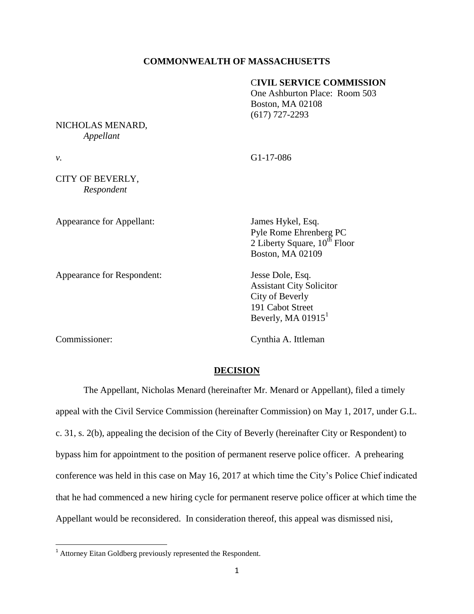## **COMMONWEALTH OF MASSACHUSETTS**

## C**IVIL SERVICE COMMISSION**

One Ashburton Place: Room 503 Boston, MA 02108 (617) 727-2293

### NICHOLAS MENARD, *Appellant*

*v.* G1-17-086

# CITY OF BEVERLY, *Respondent*

Appearance for Appellant: James Hykel, Esq.

Appearance for Respondent: Jesse Dole, Esq.

Pyle Rome Ehrenberg PC 2 Liberty Square,  $10^{th}$  Floor Boston, MA 02109

Assistant City Solicitor City of Beverly 191 Cabot Street Beverly, MA  $01915<sup>1</sup>$ 

 $\overline{\phantom{a}}$ 

Commissioner: Cynthia A. Ittleman

## **DECISION**

The Appellant, Nicholas Menard (hereinafter Mr. Menard or Appellant), filed a timely appeal with the Civil Service Commission (hereinafter Commission) on May 1, 2017, under G.L. c. 31, s. 2(b), appealing the decision of the City of Beverly (hereinafter City or Respondent) to bypass him for appointment to the position of permanent reserve police officer. A prehearing conference was held in this case on May 16, 2017 at which time the City's Police Chief indicated that he had commenced a new hiring cycle for permanent reserve police officer at which time the Appellant would be reconsidered. In consideration thereof, this appeal was dismissed nisi,

<sup>&</sup>lt;sup>1</sup> Attorney Eitan Goldberg previously represented the Respondent.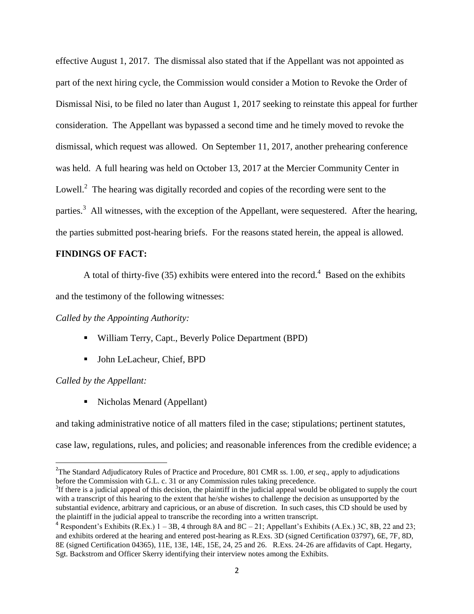effective August 1, 2017. The dismissal also stated that if the Appellant was not appointed as part of the next hiring cycle, the Commission would consider a Motion to Revoke the Order of Dismissal Nisi, to be filed no later than August 1, 2017 seeking to reinstate this appeal for further consideration. The Appellant was bypassed a second time and he timely moved to revoke the dismissal, which request was allowed. On September 11, 2017, another prehearing conference was held. A full hearing was held on October 13, 2017 at the Mercier Community Center in Lowell. $^2$  The hearing was digitally recorded and copies of the recording were sent to the parties.<sup>3</sup> All witnesses, with the exception of the Appellant, were sequestered. After the hearing, the parties submitted post-hearing briefs. For the reasons stated herein, the appeal is allowed.

### **FINDINGS OF FACT:**

A total of thirty-five (35) exhibits were entered into the record.<sup>4</sup> Based on the exhibits

and the testimony of the following witnesses:

## *Called by the Appointing Authority:*

- William Terry, Capt., Beverly Police Department (BPD)
- John LeLacheur, Chief, BPD

*Called by the Appellant:*

 $\overline{\phantom{a}}$ 

■ Nicholas Menard (Appellant)

and taking administrative notice of all matters filed in the case; stipulations; pertinent statutes,

case law, regulations, rules, and policies; and reasonable inferences from the credible evidence; a

<sup>2</sup> The Standard Adjudicatory Rules of Practice and Procedure, 801 CMR ss. 1.00, *et seq*., apply to adjudications before the Commission with G.L. c. 31 or any Commission rules taking precedence.

 $3$ If there is a judicial appeal of this decision, the plaintiff in the judicial appeal would be obligated to supply the court with a transcript of this hearing to the extent that he/she wishes to challenge the decision as unsupported by the substantial evidence, arbitrary and capricious, or an abuse of discretion. In such cases, this CD should be used by the plaintiff in the judicial appeal to transcribe the recording into a written transcript.

<sup>&</sup>lt;sup>4</sup> Respondent's Exhibits (R.Ex.)  $1 - 3B$ , 4 through 8A and 8C – 21; Appellant's Exhibits (A.Ex.) 3C, 8B, 22 and 23; and exhibits ordered at the hearing and entered post-hearing as R.Exs. 3D (signed Certification 03797), 6E, 7F, 8D, 8E (signed Certification 04365), 11E, 13E, 14E, 15E, 24, 25 and 26. R.Exs. 24-26 are affidavits of Capt. Hegarty, Sgt. Backstrom and Officer Skerry identifying their interview notes among the Exhibits.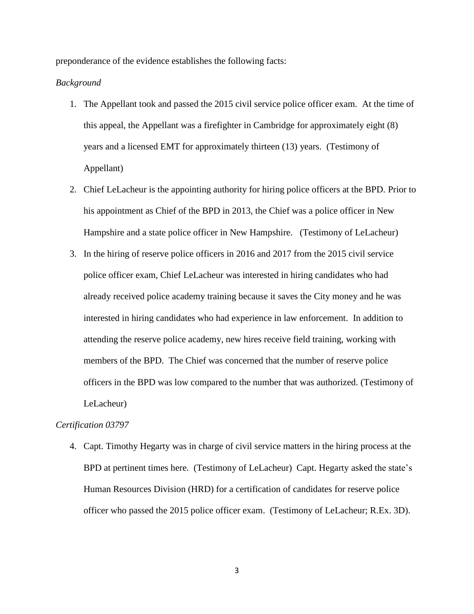preponderance of the evidence establishes the following facts:

### *Background*

- 1. The Appellant took and passed the 2015 civil service police officer exam. At the time of this appeal, the Appellant was a firefighter in Cambridge for approximately eight (8) years and a licensed EMT for approximately thirteen (13) years. (Testimony of Appellant)
- 2. Chief LeLacheur is the appointing authority for hiring police officers at the BPD. Prior to his appointment as Chief of the BPD in 2013, the Chief was a police officer in New Hampshire and a state police officer in New Hampshire. (Testimony of LeLacheur)
- 3. In the hiring of reserve police officers in 2016 and 2017 from the 2015 civil service police officer exam, Chief LeLacheur was interested in hiring candidates who had already received police academy training because it saves the City money and he was interested in hiring candidates who had experience in law enforcement. In addition to attending the reserve police academy, new hires receive field training, working with members of the BPD. The Chief was concerned that the number of reserve police officers in the BPD was low compared to the number that was authorized. (Testimony of LeLacheur)

## *Certification 03797*

4. Capt. Timothy Hegarty was in charge of civil service matters in the hiring process at the BPD at pertinent times here. (Testimony of LeLacheur) Capt. Hegarty asked the state's Human Resources Division (HRD) for a certification of candidates for reserve police officer who passed the 2015 police officer exam. (Testimony of LeLacheur; R.Ex. 3D).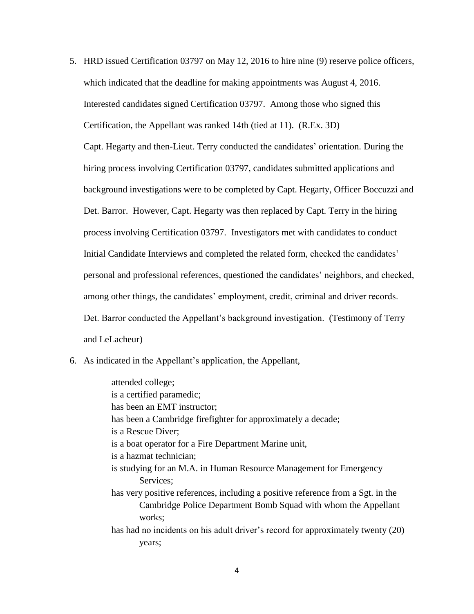5. HRD issued Certification 03797 on May 12, 2016 to hire nine (9) reserve police officers, which indicated that the deadline for making appointments was August 4, 2016. Interested candidates signed Certification 03797. Among those who signed this Certification, the Appellant was ranked 14th (tied at 11). (R.Ex. 3D)

Capt. Hegarty and then-Lieut. Terry conducted the candidates' orientation. During the hiring process involving Certification 03797, candidates submitted applications and background investigations were to be completed by Capt. Hegarty, Officer Boccuzzi and Det. Barror. However, Capt. Hegarty was then replaced by Capt. Terry in the hiring process involving Certification 03797. Investigators met with candidates to conduct Initial Candidate Interviews and completed the related form, checked the candidates' personal and professional references, questioned the candidates' neighbors, and checked, among other things, the candidates' employment, credit, criminal and driver records. Det. Barror conducted the Appellant's background investigation. (Testimony of Terry and LeLacheur)

6. As indicated in the Appellant's application, the Appellant,

attended college; is a certified paramedic; has been an EMT instructor; has been a Cambridge firefighter for approximately a decade; is a Rescue Diver; is a boat operator for a Fire Department Marine unit, is a hazmat technician; is studying for an M.A. in Human Resource Management for Emergency Services; has very positive references, including a positive reference from a Sgt. in the Cambridge Police Department Bomb Squad with whom the Appellant works; has had no incidents on his adult driver's record for approximately twenty (20) years;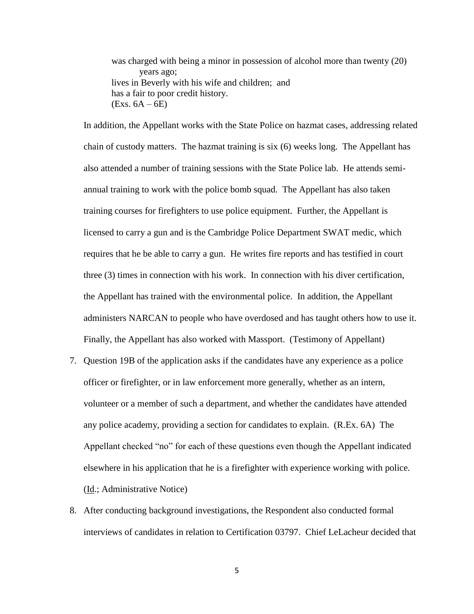was charged with being a minor in possession of alcohol more than twenty (20) years ago; lives in Beverly with his wife and children; and has a fair to poor credit history.  $(Exs. 6A - 6E)$ 

In addition, the Appellant works with the State Police on hazmat cases, addressing related chain of custody matters. The hazmat training is six (6) weeks long. The Appellant has also attended a number of training sessions with the State Police lab. He attends semiannual training to work with the police bomb squad. The Appellant has also taken training courses for firefighters to use police equipment. Further, the Appellant is licensed to carry a gun and is the Cambridge Police Department SWAT medic, which requires that he be able to carry a gun. He writes fire reports and has testified in court three (3) times in connection with his work. In connection with his diver certification, the Appellant has trained with the environmental police. In addition, the Appellant administers NARCAN to people who have overdosed and has taught others how to use it. Finally, the Appellant has also worked with Massport. (Testimony of Appellant)

- 7. Question 19B of the application asks if the candidates have any experience as a police officer or firefighter, or in law enforcement more generally, whether as an intern, volunteer or a member of such a department, and whether the candidates have attended any police academy, providing a section for candidates to explain. (R.Ex. 6A) The Appellant checked "no" for each of these questions even though the Appellant indicated elsewhere in his application that he is a firefighter with experience working with police. (Id.; Administrative Notice)
- 8. After conducting background investigations, the Respondent also conducted formal interviews of candidates in relation to Certification 03797. Chief LeLacheur decided that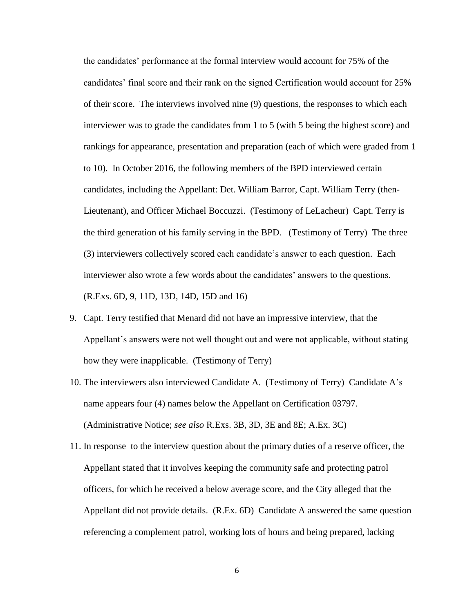the candidates' performance at the formal interview would account for 75% of the candidates' final score and their rank on the signed Certification would account for 25% of their score. The interviews involved nine (9) questions, the responses to which each interviewer was to grade the candidates from 1 to 5 (with 5 being the highest score) and rankings for appearance, presentation and preparation (each of which were graded from 1 to 10). In October 2016, the following members of the BPD interviewed certain candidates, including the Appellant: Det. William Barror, Capt. William Terry (then-Lieutenant), and Officer Michael Boccuzzi. (Testimony of LeLacheur) Capt. Terry is the third generation of his family serving in the BPD. (Testimony of Terry) The three (3) interviewers collectively scored each candidate's answer to each question. Each interviewer also wrote a few words about the candidates' answers to the questions. (R.Exs. 6D, 9, 11D, 13D, 14D, 15D and 16)

- 9. Capt. Terry testified that Menard did not have an impressive interview, that the Appellant's answers were not well thought out and were not applicable, without stating how they were inapplicable. (Testimony of Terry)
- 10. The interviewers also interviewed Candidate A. (Testimony of Terry) Candidate A's name appears four (4) names below the Appellant on Certification 03797. (Administrative Notice; *see also* R.Exs. 3B, 3D, 3E and 8E; A.Ex. 3C)
- 11. In response to the interview question about the primary duties of a reserve officer, the Appellant stated that it involves keeping the community safe and protecting patrol officers, for which he received a below average score, and the City alleged that the Appellant did not provide details. (R.Ex. 6D) Candidate A answered the same question referencing a complement patrol, working lots of hours and being prepared, lacking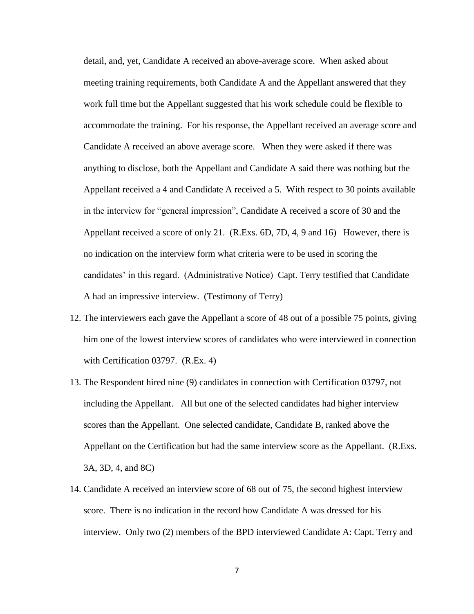detail, and, yet, Candidate A received an above-average score. When asked about meeting training requirements, both Candidate A and the Appellant answered that they work full time but the Appellant suggested that his work schedule could be flexible to accommodate the training. For his response, the Appellant received an average score and Candidate A received an above average score. When they were asked if there was anything to disclose, both the Appellant and Candidate A said there was nothing but the Appellant received a 4 and Candidate A received a 5. With respect to 30 points available in the interview for "general impression", Candidate A received a score of 30 and the Appellant received a score of only 21. (R.Exs. 6D, 7D, 4, 9 and 16) However, there is no indication on the interview form what criteria were to be used in scoring the candidates' in this regard. (Administrative Notice) Capt. Terry testified that Candidate A had an impressive interview. (Testimony of Terry)

- 12. The interviewers each gave the Appellant a score of 48 out of a possible 75 points, giving him one of the lowest interview scores of candidates who were interviewed in connection with Certification 03797. (R.Ex. 4)
- 13. The Respondent hired nine (9) candidates in connection with Certification 03797, not including the Appellant. All but one of the selected candidates had higher interview scores than the Appellant. One selected candidate, Candidate B, ranked above the Appellant on the Certification but had the same interview score as the Appellant. (R.Exs. 3A, 3D, 4, and 8C)
- 14. Candidate A received an interview score of 68 out of 75, the second highest interview score. There is no indication in the record how Candidate A was dressed for his interview. Only two (2) members of the BPD interviewed Candidate A: Capt. Terry and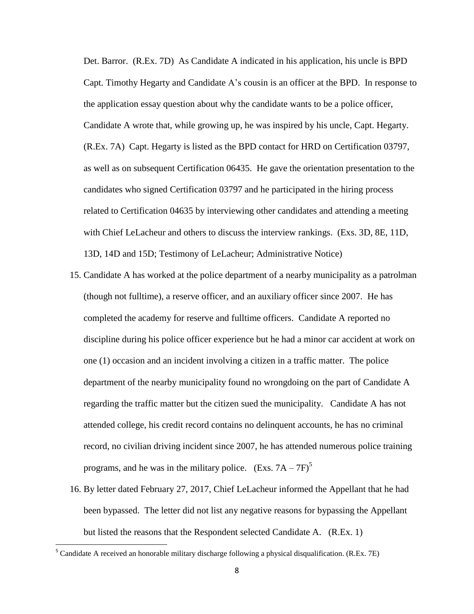Det. Barror. (R.Ex. 7D) As Candidate A indicated in his application, his uncle is BPD Capt. Timothy Hegarty and Candidate A's cousin is an officer at the BPD. In response to the application essay question about why the candidate wants to be a police officer, Candidate A wrote that, while growing up, he was inspired by his uncle, Capt. Hegarty. (R.Ex. 7A) Capt. Hegarty is listed as the BPD contact for HRD on Certification 03797, as well as on subsequent Certification 06435. He gave the orientation presentation to the candidates who signed Certification 03797 and he participated in the hiring process related to Certification 04635 by interviewing other candidates and attending a meeting with Chief LeLacheur and others to discuss the interview rankings. (Exs. 3D, 8E, 11D, 13D, 14D and 15D; Testimony of LeLacheur; Administrative Notice)

- 15. Candidate A has worked at the police department of a nearby municipality as a patrolman (though not fulltime), a reserve officer, and an auxiliary officer since 2007. He has completed the academy for reserve and fulltime officers. Candidate A reported no discipline during his police officer experience but he had a minor car accident at work on one (1) occasion and an incident involving a citizen in a traffic matter. The police department of the nearby municipality found no wrongdoing on the part of Candidate A regarding the traffic matter but the citizen sued the municipality. Candidate A has not attended college, his credit record contains no delinquent accounts, he has no criminal record, no civilian driving incident since 2007, he has attended numerous police training programs, and he was in the military police. (Exs.  $7A - 7F$ )<sup>5</sup>
- 16. By letter dated February 27, 2017, Chief LeLacheur informed the Appellant that he had been bypassed. The letter did not list any negative reasons for bypassing the Appellant but listed the reasons that the Respondent selected Candidate A. (R.Ex. 1)

 $\overline{\phantom{a}}$ 

<sup>&</sup>lt;sup>5</sup> Candidate A received an honorable military discharge following a physical disqualification. (R.Ex. 7E)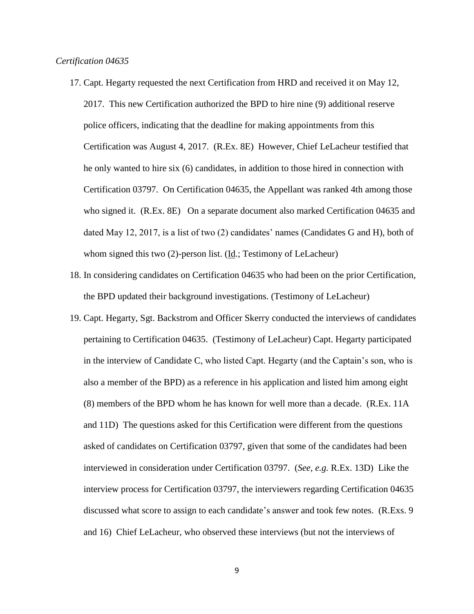- 17. Capt. Hegarty requested the next Certification from HRD and received it on May 12, 2017. This new Certification authorized the BPD to hire nine (9) additional reserve police officers, indicating that the deadline for making appointments from this Certification was August 4, 2017. (R.Ex. 8E) However, Chief LeLacheur testified that he only wanted to hire six (6) candidates, in addition to those hired in connection with Certification 03797. On Certification 04635, the Appellant was ranked 4th among those who signed it. (R.Ex. 8E) On a separate document also marked Certification 04635 and dated May 12, 2017, is a list of two (2) candidates' names (Candidates G and H), both of whom signed this two (2)-person list. (Id.; Testimony of LeLacheur)
- 18. In considering candidates on Certification 04635 who had been on the prior Certification, the BPD updated their background investigations. (Testimony of LeLacheur)
- 19. Capt. Hegarty, Sgt. Backstrom and Officer Skerry conducted the interviews of candidates pertaining to Certification 04635. (Testimony of LeLacheur) Capt. Hegarty participated in the interview of Candidate C, who listed Capt. Hegarty (and the Captain's son, who is also a member of the BPD) as a reference in his application and listed him among eight (8) members of the BPD whom he has known for well more than a decade. (R.Ex. 11A and 11D) The questions asked for this Certification were different from the questions asked of candidates on Certification 03797, given that some of the candidates had been interviewed in consideration under Certification 03797. (*See, e.g.* R.Ex. 13D) Like the interview process for Certification 03797, the interviewers regarding Certification 04635 discussed what score to assign to each candidate's answer and took few notes. (R.Exs. 9 and 16) Chief LeLacheur, who observed these interviews (but not the interviews of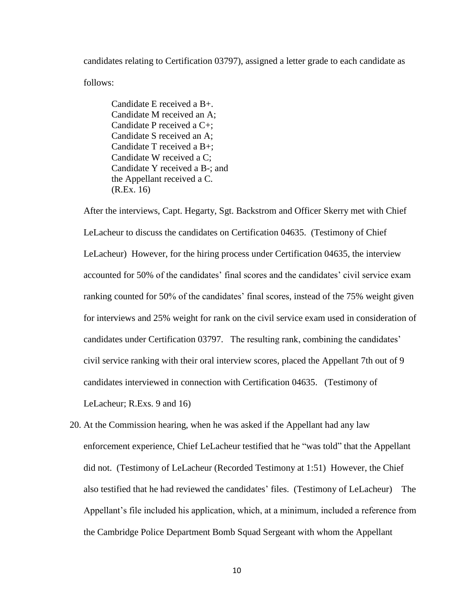candidates relating to Certification 03797), assigned a letter grade to each candidate as follows:

Candidate E received a B+. Candidate M received an A; Candidate P received a C+; Candidate S received an A; Candidate T received a B+; Candidate W received a C; Candidate Y received a B-; and the Appellant received a C. (R.Ex. 16)

After the interviews, Capt. Hegarty, Sgt. Backstrom and Officer Skerry met with Chief LeLacheur to discuss the candidates on Certification 04635. (Testimony of Chief LeLacheur) However, for the hiring process under Certification 04635, the interview accounted for 50% of the candidates' final scores and the candidates' civil service exam ranking counted for 50% of the candidates' final scores, instead of the 75% weight given for interviews and 25% weight for rank on the civil service exam used in consideration of candidates under Certification 03797. The resulting rank, combining the candidates' civil service ranking with their oral interview scores, placed the Appellant 7th out of 9 candidates interviewed in connection with Certification 04635. (Testimony of LeLacheur; R.Exs. 9 and 16)

20. At the Commission hearing, when he was asked if the Appellant had any law enforcement experience, Chief LeLacheur testified that he "was told" that the Appellant did not. (Testimony of LeLacheur (Recorded Testimony at 1:51) However, the Chief also testified that he had reviewed the candidates' files. (Testimony of LeLacheur) The Appellant's file included his application, which, at a minimum, included a reference from the Cambridge Police Department Bomb Squad Sergeant with whom the Appellant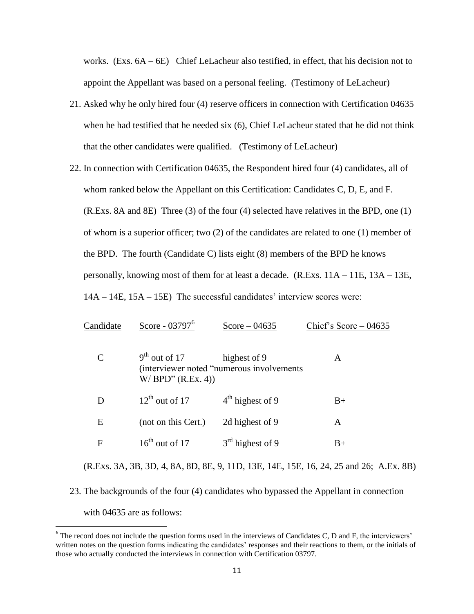works. (Exs.  $6A - 6E$ ) Chief LeLacheur also testified, in effect, that his decision not to appoint the Appellant was based on a personal feeling. (Testimony of LeLacheur)

- 21. Asked why he only hired four (4) reserve officers in connection with Certification 04635 when he had testified that he needed six (6), Chief LeLacheur stated that he did not think that the other candidates were qualified. (Testimony of LeLacheur)
- 22. In connection with Certification 04635, the Respondent hired four (4) candidates, all of whom ranked below the Appellant on this Certification: Candidates C, D, E, and F. (R.Exs. 8A and 8E) Three (3) of the four (4) selected have relatives in the BPD, one (1) of whom is a superior officer; two (2) of the candidates are related to one (1) member of the BPD. The fourth (Candidate C) lists eight (8) members of the BPD he knows personally, knowing most of them for at least a decade. (R.Exs. 11A – 11E, 13A – 13E, 14A – 14E, 15A – 15E) The successful candidates' interview scores were:

| Candidate                                                                              | Score - 03797 <sup>6</sup>               | Score $-04635$                                            | Chief's Score $-04635$ |
|----------------------------------------------------------------------------------------|------------------------------------------|-----------------------------------------------------------|------------------------|
| $\mathcal{C}_{\mathcal{C}}$                                                            | $9th$ out of 17<br>$W/$ BPD" $(R.Ex. 4)$ | highest of 9<br>(interviewer noted "numerous involvements | A                      |
| D                                                                                      | $12^{th}$ out of 17                      | $4th$ highest of 9                                        | $B+$                   |
| E                                                                                      | (not on this Cert.)                      | 2d highest of 9                                           | A                      |
| F                                                                                      | $16^{th}$ out of 17                      | $3rd$ highest of 9                                        | $B+$                   |
| (R.Exs. 3A, 3B, 3D, 4, 8A, 8D, 8E, 9, 11D, 13E, 14E, 15E, 16, 24, 25 and 26; A.Ex. 8B) |                                          |                                                           |                        |

23. The backgrounds of the four (4) candidates who bypassed the Appellant in connection with 04635 are as follows:

 $\overline{\phantom{a}}$ 

 $6$  The record does not include the question forms used in the interviews of Candidates C, D and F, the interviewers' written notes on the question forms indicating the candidates' responses and their reactions to them, or the initials of those who actually conducted the interviews in connection with Certification 03797.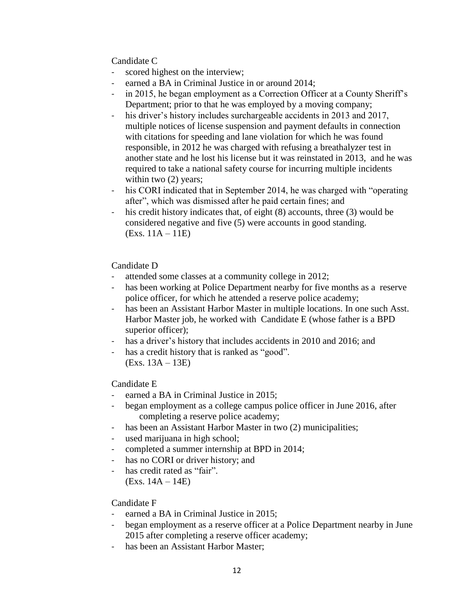Candidate C

- scored highest on the interview;
- earned a BA in Criminal Justice in or around 2014;
- in 2015, he began employment as a Correction Officer at a County Sheriff's Department; prior to that he was employed by a moving company;
- his driver's history includes surchargeable accidents in 2013 and 2017, multiple notices of license suspension and payment defaults in connection with citations for speeding and lane violation for which he was found responsible, in 2012 he was charged with refusing a breathalyzer test in another state and he lost his license but it was reinstated in 2013, and he was required to take a national safety course for incurring multiple incidents within two  $(2)$  years;
- his CORI indicated that in September 2014, he was charged with "operating after", which was dismissed after he paid certain fines; and
- his credit history indicates that, of eight (8) accounts, three (3) would be considered negative and five (5) were accounts in good standing. (Exs. 11A – 11E)

# Candidate D

- attended some classes at a community college in 2012;
- has been working at Police Department nearby for five months as a reserve police officer, for which he attended a reserve police academy;
- has been an Assistant Harbor Master in multiple locations. In one such Asst. Harbor Master job, he worked with Candidate E (whose father is a BPD superior officer);
- has a driver's history that includes accidents in 2010 and 2016; and
- has a credit history that is ranked as "good".
	- (Exs. 13A 13E)

Candidate E

- earned a BA in Criminal Justice in 2015;
- began employment as a college campus police officer in June 2016, after completing a reserve police academy;
- has been an Assistant Harbor Master in two (2) municipalities;
- used marijuana in high school;
- completed a summer internship at BPD in 2014;
- has no CORI or driver history; and
- has credit rated as "fair". (Exs. 14A – 14E)

# Candidate F

- earned a BA in Criminal Justice in 2015;
- began employment as a reserve officer at a Police Department nearby in June 2015 after completing a reserve officer academy;
- has been an Assistant Harbor Master;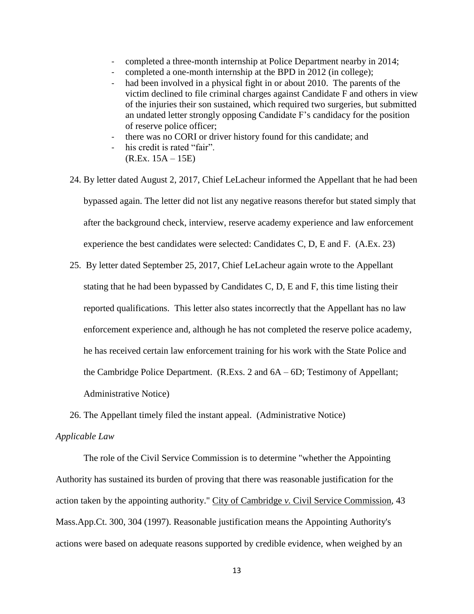- completed a three-month internship at Police Department nearby in 2014;
- completed a one-month internship at the BPD in 2012 (in college);
- had been involved in a physical fight in or about 2010. The parents of the victim declined to file criminal charges against Candidate F and others in view of the injuries their son sustained, which required two surgeries, but submitted an undated letter strongly opposing Candidate F's candidacy for the position of reserve police officer;
- there was no CORI or driver history found for this candidate; and
- his credit is rated "fair". (R.Ex. 15A – 15E)
- 24. By letter dated August 2, 2017, Chief LeLacheur informed the Appellant that he had been bypassed again. The letter did not list any negative reasons therefor but stated simply that after the background check, interview, reserve academy experience and law enforcement experience the best candidates were selected: Candidates C, D, E and F. (A.Ex. 23)
- 25. By letter dated September 25, 2017, Chief LeLacheur again wrote to the Appellant stating that he had been bypassed by Candidates C, D, E and F, this time listing their reported qualifications. This letter also states incorrectly that the Appellant has no law enforcement experience and, although he has not completed the reserve police academy, he has received certain law enforcement training for his work with the State Police and the Cambridge Police Department. (R.Exs. 2 and 6A – 6D; Testimony of Appellant; Administrative Notice)
- 26. The Appellant timely filed the instant appeal. (Administrative Notice)

# *Applicable Law*

The role of the Civil Service Commission is to determine "whether the Appointing Authority has sustained its burden of proving that there was reasonable justification for the action taken by the appointing authority." City of Cambridge *v.* Civil Service Commission, 43 Mass.App.Ct. 300, 304 (1997). Reasonable justification means the Appointing Authority's actions were based on adequate reasons supported by credible evidence, when weighed by an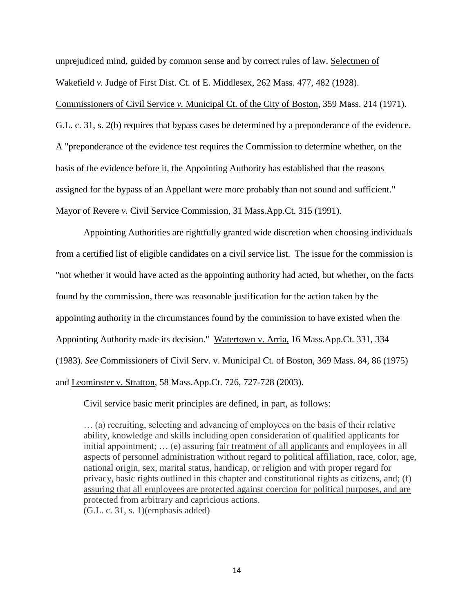unprejudiced mind, guided by common sense and by correct rules of law. Selectmen of Wakefield *v.* Judge of First Dist. Ct. of E. Middlesex, 262 Mass. 477, 482 (1928).

Commissioners of Civil Service *v.* Municipal Ct. of the City of Boston, 359 Mass. 214 (1971). G.L. c. 31, s. 2(b) requires that bypass cases be determined by a preponderance of the evidence. A "preponderance of the evidence test requires the Commission to determine whether, on the basis of the evidence before it, the Appointing Authority has established that the reasons assigned for the bypass of an Appellant were more probably than not sound and sufficient." Mayor of Revere *v.* Civil Service Commission, 31 Mass.App.Ct. 315 (1991).

 Appointing Authorities are rightfully granted wide discretion when choosing individuals from a certified list of eligible candidates on a civil service list. The issue for the commission is "not whether it would have acted as the appointing authority had acted, but whether, on the facts found by the commission, there was reasonable justification for the action taken by the appointing authority in the circumstances found by the commission to have existed when the Appointing Authority made its decision." Watertown v. Arria, 16 Mass.App.Ct. 331, 334 (1983). *See* Commissioners of Civil Serv. v. Municipal Ct. of Boston, 369 Mass. 84, 86 (1975) and Leominster v. Stratton, 58 Mass.App.Ct. 726, 727-728 (2003).

Civil service basic merit principles are defined, in part, as follows:

… (a) recruiting, selecting and advancing of employees on the basis of their relative ability, knowledge and skills including open consideration of qualified applicants for initial appointment; … (e) assuring fair treatment of all applicants and employees in all aspects of personnel administration without regard to political affiliation, race, color, age, national origin, sex, marital status, handicap, or religion and with proper regard for privacy, basic rights outlined in this chapter and constitutional rights as citizens, and; (f) assuring that all employees are protected against coercion for political purposes, and are protected from arbitrary and capricious actions. (G.L. c. 31, s. 1)(emphasis added)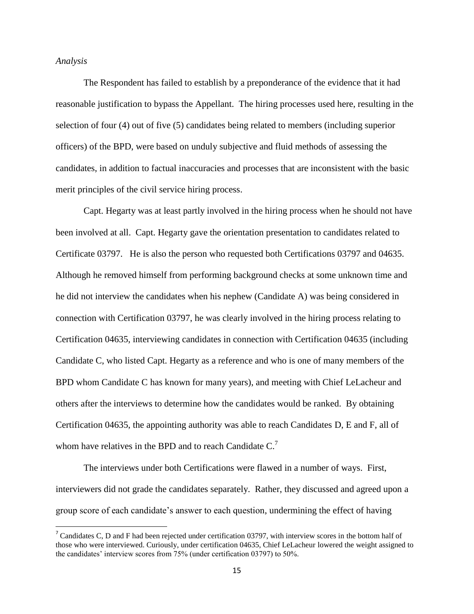#### *Analysis*

 $\overline{\phantom{a}}$ 

The Respondent has failed to establish by a preponderance of the evidence that it had reasonable justification to bypass the Appellant. The hiring processes used here, resulting in the selection of four (4) out of five (5) candidates being related to members (including superior officers) of the BPD, were based on unduly subjective and fluid methods of assessing the candidates, in addition to factual inaccuracies and processes that are inconsistent with the basic merit principles of the civil service hiring process.

Capt. Hegarty was at least partly involved in the hiring process when he should not have been involved at all. Capt. Hegarty gave the orientation presentation to candidates related to Certificate 03797. He is also the person who requested both Certifications 03797 and 04635. Although he removed himself from performing background checks at some unknown time and he did not interview the candidates when his nephew (Candidate A) was being considered in connection with Certification 03797, he was clearly involved in the hiring process relating to Certification 04635, interviewing candidates in connection with Certification 04635 (including Candidate C, who listed Capt. Hegarty as a reference and who is one of many members of the BPD whom Candidate C has known for many years), and meeting with Chief LeLacheur and others after the interviews to determine how the candidates would be ranked. By obtaining Certification 04635, the appointing authority was able to reach Candidates D, E and F, all of whom have relatives in the BPD and to reach Candidate  $C<sup>7</sup>$ 

The interviews under both Certifications were flawed in a number of ways. First, interviewers did not grade the candidates separately. Rather, they discussed and agreed upon a group score of each candidate's answer to each question, undermining the effect of having

<sup>&</sup>lt;sup>7</sup> Candidates C, D and F had been rejected under certification 03797, with interview scores in the bottom half of those who were interviewed. Curiously, under certification 04635, Chief LeLacheur lowered the weight assigned to the candidates' interview scores from 75% (under certification 03797) to 50%.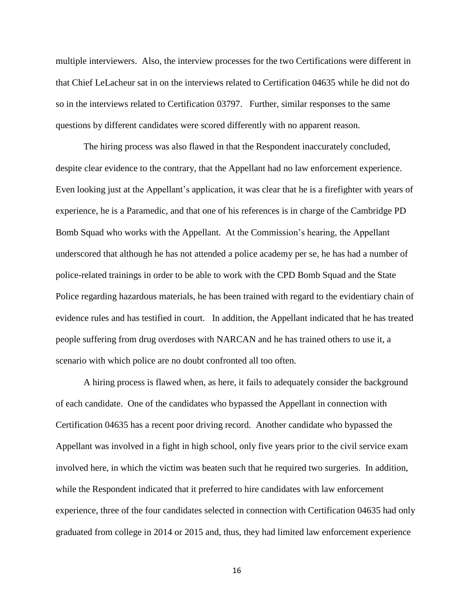multiple interviewers. Also, the interview processes for the two Certifications were different in that Chief LeLacheur sat in on the interviews related to Certification 04635 while he did not do so in the interviews related to Certification 03797. Further, similar responses to the same questions by different candidates were scored differently with no apparent reason.

The hiring process was also flawed in that the Respondent inaccurately concluded, despite clear evidence to the contrary, that the Appellant had no law enforcement experience. Even looking just at the Appellant's application, it was clear that he is a firefighter with years of experience, he is a Paramedic, and that one of his references is in charge of the Cambridge PD Bomb Squad who works with the Appellant. At the Commission's hearing, the Appellant underscored that although he has not attended a police academy per se, he has had a number of police-related trainings in order to be able to work with the CPD Bomb Squad and the State Police regarding hazardous materials, he has been trained with regard to the evidentiary chain of evidence rules and has testified in court. In addition, the Appellant indicated that he has treated people suffering from drug overdoses with NARCAN and he has trained others to use it, a scenario with which police are no doubt confronted all too often.

A hiring process is flawed when, as here, it fails to adequately consider the background of each candidate. One of the candidates who bypassed the Appellant in connection with Certification 04635 has a recent poor driving record. Another candidate who bypassed the Appellant was involved in a fight in high school, only five years prior to the civil service exam involved here, in which the victim was beaten such that he required two surgeries. In addition, while the Respondent indicated that it preferred to hire candidates with law enforcement experience, three of the four candidates selected in connection with Certification 04635 had only graduated from college in 2014 or 2015 and, thus, they had limited law enforcement experience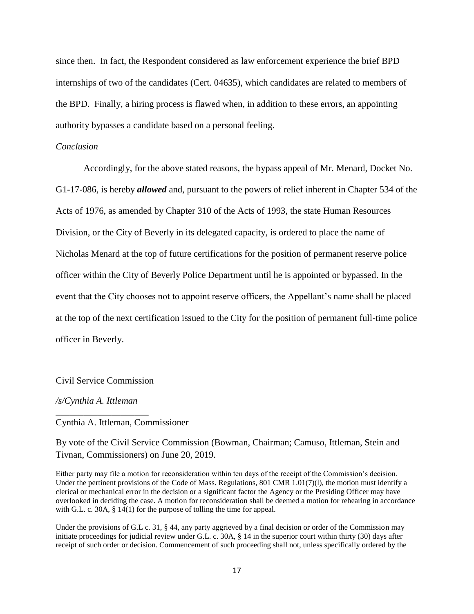since then. In fact, the Respondent considered as law enforcement experience the brief BPD internships of two of the candidates (Cert. 04635), which candidates are related to members of the BPD. Finally, a hiring process is flawed when, in addition to these errors, an appointing authority bypasses a candidate based on a personal feeling.

### *Conclusion*

Accordingly, for the above stated reasons, the bypass appeal of Mr. Menard, Docket No. G1-17-086, is hereby *allowed* and, pursuant to the powers of relief inherent in Chapter 534 of the Acts of 1976, as amended by Chapter 310 of the Acts of 1993, the state Human Resources Division, or the City of Beverly in its delegated capacity, is ordered to place the name of Nicholas Menard at the top of future certifications for the position of permanent reserve police officer within the City of Beverly Police Department until he is appointed or bypassed. In the event that the City chooses not to appoint reserve officers, the Appellant's name shall be placed at the top of the next certification issued to the City for the position of permanent full-time police officer in Beverly.

# Civil Service Commission

### */s/Cynthia A. Ittleman*

\_\_\_\_\_\_\_\_\_\_\_\_\_\_\_\_\_\_\_\_

### Cynthia A. Ittleman, Commissioner

By vote of the Civil Service Commission (Bowman, Chairman; Camuso, Ittleman, Stein and Tivnan, Commissioners) on June 20, 2019.

Either party may file a motion for reconsideration within ten days of the receipt of the Commission's decision. Under the pertinent provisions of the Code of Mass. Regulations, 801 CMR  $1.01(7)(1)$ , the motion must identify a clerical or mechanical error in the decision or a significant factor the Agency or the Presiding Officer may have overlooked in deciding the case. A motion for reconsideration shall be deemed a motion for rehearing in accordance with G.L. c. 30A, § 14(1) for the purpose of tolling the time for appeal.

Under the provisions of G.L c. 31, § 44, any party aggrieved by a final decision or order of the Commission may initiate proceedings for judicial review under G.L. c. 30A, § 14 in the superior court within thirty (30) days after receipt of such order or decision. Commencement of such proceeding shall not, unless specifically ordered by the